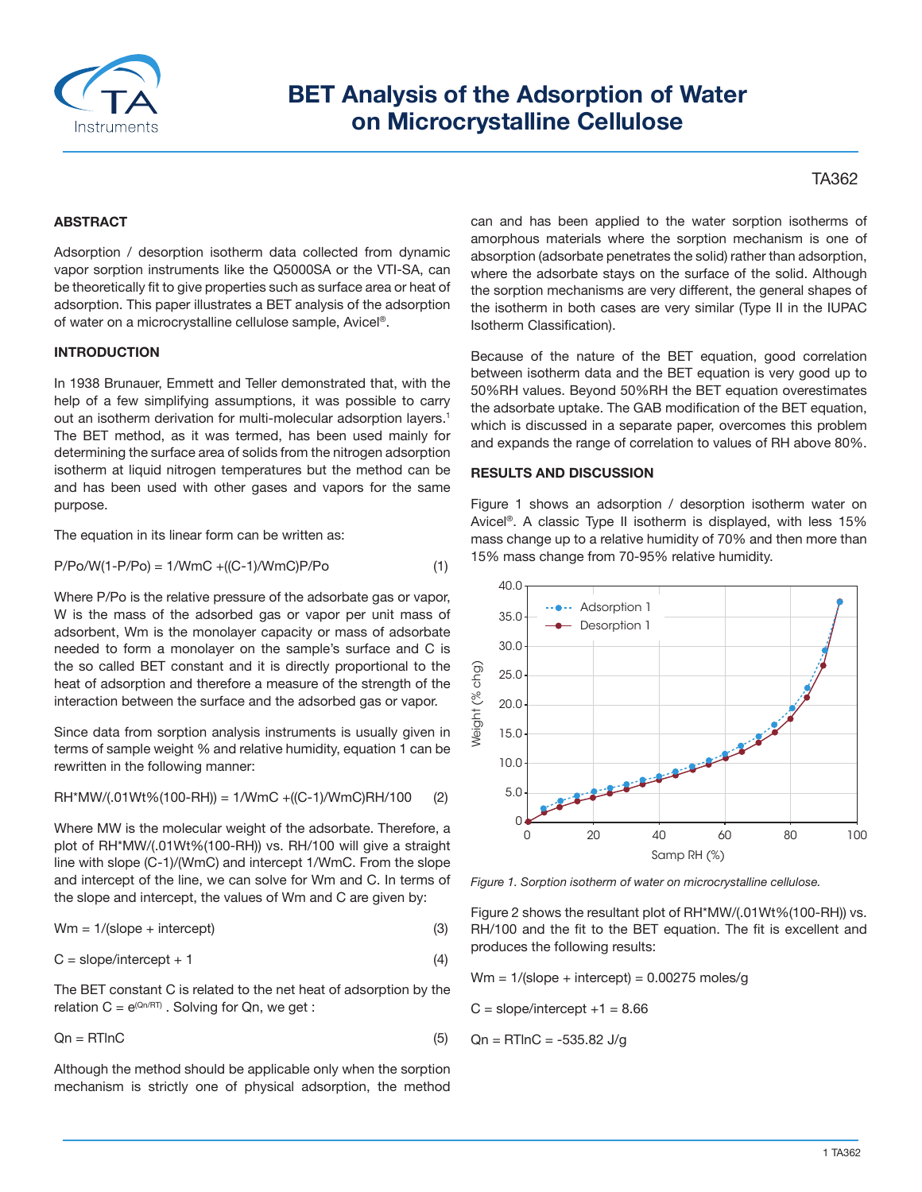

# **BET Analysis of the Adsorption of Water on Microcrystalline Cellulose**

## TA362

### **ABSTRACT**

Adsorption / desorption isotherm data collected from dynamic vapor sorption instruments like the Q5000SA or the VTI-SA, can be theoretically fit to give properties such as surface area or heat of adsorption. This paper illustrates a BET analysis of the adsorption of water on a microcrystalline cellulose sample, Avicel®.

#### **INTRODUCTION**

In 1938 Brunauer, Emmett and Teller demonstrated that, with the help of a few simplifying assumptions, it was possible to carry out an isotherm derivation for multi-molecular adsorption layers.<sup>1</sup> The BET method, as it was termed, has been used mainly for determining the surface area of solids from the nitrogen adsorption isotherm at liquid nitrogen temperatures but the method can be and has been used with other gases and vapors for the same purpose.

The equation in its linear form can be written as:

$$
P/Po/W(1-P/Po) = 1/WmC + ((C-1)/WmC)P/Po
$$
 (1)

Where P/Po is the relative pressure of the adsorbate gas or vapor, W is the mass of the adsorbed gas or vapor per unit mass of adsorbent, Wm is the monolayer capacity or mass of adsorbate needed to form a monolayer on the sample's surface and C is the so called BET constant and it is directly proportional to the heat of adsorption and therefore a measure of the strength of the interaction between the surface and the adsorbed gas or vapor.

Since data from sorption analysis instruments is usually given in terms of sample weight % and relative humidity, equation 1 can be rewritten in the following manner:

$$
RH^*MW/(.01Wt\%(100-RH)) = 1/WmC + ((C-1)/WmC)RH/100
$$
 (2)

Where MW is the molecular weight of the adsorbate. Therefore, a plot of RH\*MW/(.01Wt%(100-RH)) vs. RH/100 will give a straight line with slope (C-1)/(WmC) and intercept 1/WmC. From the slope and intercept of the line, we can solve for Wm and C. In terms of the slope and intercept, the values of Wm and C are given by:

$$
Wm = 1/(slope + intercept)
$$
 (3)

 $C = slope/intercept + 1$  (4)

The BET constant C is related to the net heat of adsorption by the relation  $C = e^{(Qn/RT)}$ . Solving for Qn, we get :

$$
Qn = RTInC \tag{5}
$$

Although the method should be applicable only when the sorption mechanism is strictly one of physical adsorption, the method can and has been applied to the water sorption isotherms of amorphous materials where the sorption mechanism is one of absorption (adsorbate penetrates the solid) rather than adsorption, where the adsorbate stays on the surface of the solid. Although the sorption mechanisms are very different, the general shapes of the isotherm in both cases are very similar (Type II in the IUPAC Isotherm Classification).

Because of the nature of the BET equation, good correlation between isotherm data and the BET equation is very good up to 50%RH values. Beyond 50%RH the BET equation overestimates the adsorbate uptake. The GAB modification of the BET equation, which is discussed in a separate paper, overcomes this problem and expands the range of correlation to values of RH above 80%.

## **RESULTS AND DISCUSSION**

Figure 1 shows an adsorption / desorption isotherm water on Avicel®. A classic Type II isotherm is displayed, with less 15% mass change up to a relative humidity of 70% and then more than 15% mass change from 70-95% relative humidity.



*Figure 1. Sorption isotherm of water on microcrystalline cellulose.*

Figure 2 shows the resultant plot of RH\*MW/(.01Wt%(100-RH)) vs. RH/100 and the fit to the BET equation. The fit is excellent and produces the following results:

 $Wm = 1/(slope + intercept) = 0.00275$  moles/g

 $C = slope/intercept +1 = 8.66$ 

 $Qn = RTlnC = -535.82$  J/g